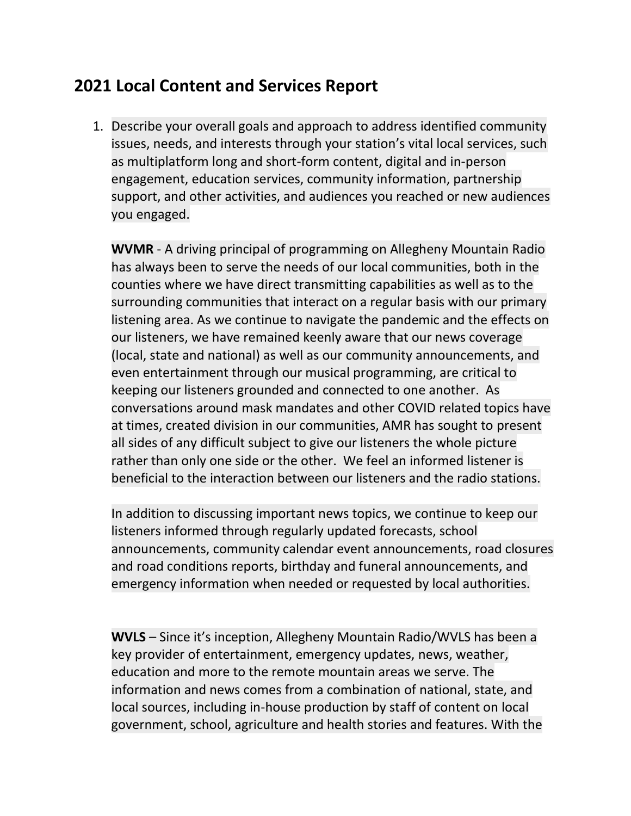## **2021 Local Content and Services Report**

1. Describe your overall goals and approach to address identified community issues, needs, and interests through your station's vital local services, such as multiplatform long and short-form content, digital and in-person engagement, education services, community information, partnership support, and other activities, and audiences you reached or new audiences you engaged.

**WVMR** - A driving principal of programming on Allegheny Mountain Radio has always been to serve the needs of our local communities, both in the counties where we have direct transmitting capabilities as well as to the surrounding communities that interact on a regular basis with our primary listening area. As we continue to navigate the pandemic and the effects on our listeners, we have remained keenly aware that our news coverage (local, state and national) as well as our community announcements, and even entertainment through our musical programming, are critical to keeping our listeners grounded and connected to one another. As conversations around mask mandates and other COVID related topics have at times, created division in our communities, AMR has sought to present all sides of any difficult subject to give our listeners the whole picture rather than only one side or the other. We feel an informed listener is beneficial to the interaction between our listeners and the radio stations.

In addition to discussing important news topics, we continue to keep our listeners informed through regularly updated forecasts, school announcements, community calendar event announcements, road closures and road conditions reports, birthday and funeral announcements, and emergency information when needed or requested by local authorities.

**WVLS** – Since it's inception, Allegheny Mountain Radio/WVLS has been a key provider of entertainment, emergency updates, news, weather, education and more to the remote mountain areas we serve. The information and news comes from a combination of national, state, and local sources, including in-house production by staff of content on local government, school, agriculture and health stories and features. With the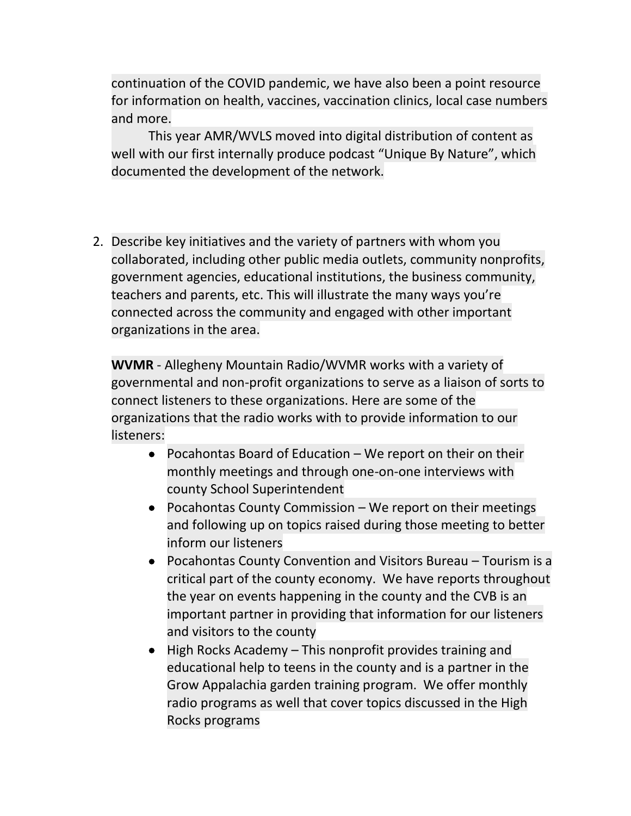continuation of the COVID pandemic, we have also been a point resource for information on health, vaccines, vaccination clinics, local case numbers and more.

This year AMR/WVLS moved into digital distribution of content as well with our first internally produce podcast "Unique By Nature", which documented the development of the network.

2. Describe key initiatives and the variety of partners with whom you collaborated, including other public media outlets, community nonprofits, government agencies, educational institutions, the business community, teachers and parents, etc. This will illustrate the many ways you're connected across the community and engaged with other important organizations in the area.

**WVMR** - Allegheny Mountain Radio/WVMR works with a variety of governmental and non-profit organizations to serve as a liaison of sorts to connect listeners to these organizations. Here are some of the organizations that the radio works with to provide information to our listeners:

- Pocahontas Board of Education  $-$  We report on their on their monthly meetings and through one-on-one interviews with county School Superintendent
- Pocahontas County Commission We report on their meetings and following up on topics raised during those meeting to better inform our listeners
- Pocahontas County Convention and Visitors Bureau Tourism is a critical part of the county economy. We have reports throughout the year on events happening in the county and the CVB is an important partner in providing that information for our listeners and visitors to the county
- High Rocks Academy This nonprofit provides training and educational help to teens in the county and is a partner in the Grow Appalachia garden training program. We offer monthly radio programs as well that cover topics discussed in the High Rocks programs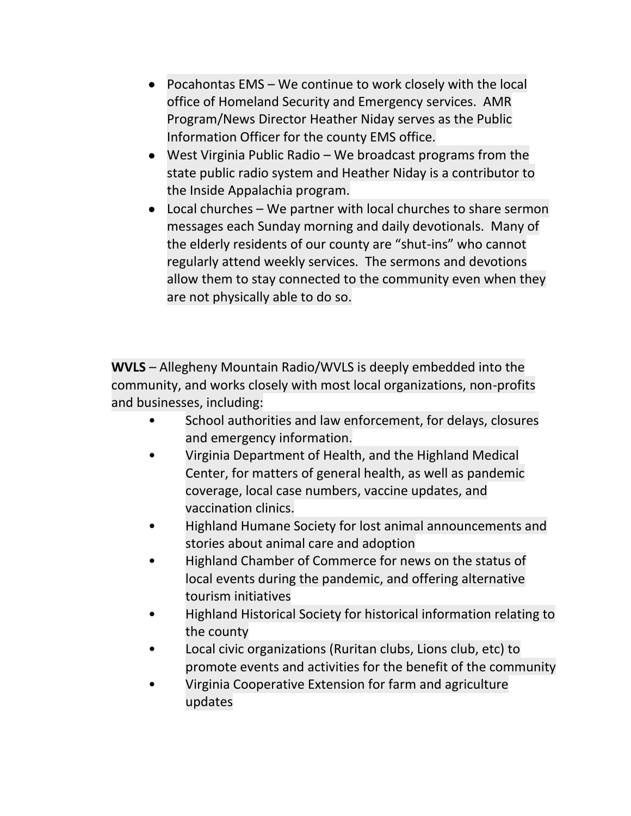- Pocahontas EMS We continue to work closely with the local office of Homeland Security and Emergency services. AMR Program/News Director Heather Niday serves as the Public Information Officer for the county EMS office.
- West Virginia Public Radio We broadcast programs from the state public radio system and Heather Niday is a contributor to the Inside Appalachia program.
- Local churches We partner with local churches to share sermon messages each Sunday morning and daily devotionals. Many of the elderly residents of our county are "shut-ins" who cannot regularly attend weekly services. The sermons and devotions allow them to stay connected to the community even when they are not physically able to do so.

**WVLS** – Allegheny Mountain Radio/WVLS is deeply embedded into the community, and works closely with most local organizations, non-profits and businesses, including:

- School authorities and law enforcement, for delays, closures and emergency information.
- Virginia Department of Health, and the Highland Medical Center, for matters of general health, as well as pandemic coverage, local case numbers, vaccine updates, and vaccination clinics.
- Highland Humane Society for lost animal announcements and stories about animal care and adoption
- Highland Chamber of Commerce for news on the status of local events during the pandemic, and offering alternative tourism initiatives
- Highland Historical Society for historical information relating to the county
- Local civic organizations (Ruritan clubs, Lions club, etc) to promote events and activities for the benefit of the community
- Virginia Cooperative Extension for farm and agriculture updates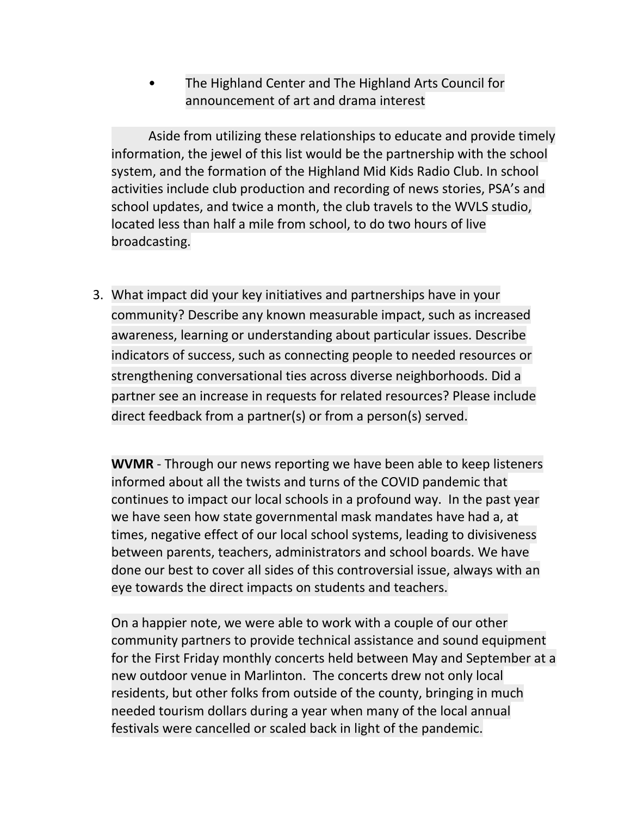• The Highland Center and The Highland Arts Council for announcement of art and drama interest

Aside from utilizing these relationships to educate and provide timely information, the jewel of this list would be the partnership with the school system, and the formation of the Highland Mid Kids Radio Club. In school activities include club production and recording of news stories, PSA's and school updates, and twice a month, the club travels to the WVLS studio, located less than half a mile from school, to do two hours of live broadcasting.

3. What impact did your key initiatives and partnerships have in your community? Describe any known measurable impact, such as increased awareness, learning or understanding about particular issues. Describe indicators of success, such as connecting people to needed resources or strengthening conversational ties across diverse neighborhoods. Did a partner see an increase in requests for related resources? Please include direct feedback from a partner(s) or from a person(s) served.

**WVMR** - Through our news reporting we have been able to keep listeners informed about all the twists and turns of the COVID pandemic that continues to impact our local schools in a profound way. In the past year we have seen how state governmental mask mandates have had a, at times, negative effect of our local school systems, leading to divisiveness between parents, teachers, administrators and school boards. We have done our best to cover all sides of this controversial issue, always with an eye towards the direct impacts on students and teachers.

On a happier note, we were able to work with a couple of our other community partners to provide technical assistance and sound equipment for the First Friday monthly concerts held between May and September at a new outdoor venue in Marlinton. The concerts drew not only local residents, but other folks from outside of the county, bringing in much needed tourism dollars during a year when many of the local annual festivals were cancelled or scaled back in light of the pandemic.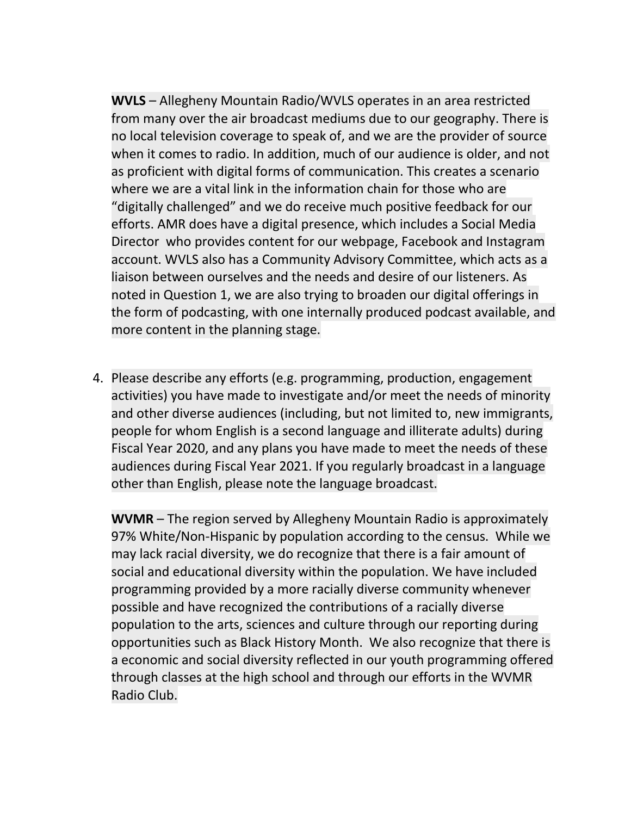**WVLS** – Allegheny Mountain Radio/WVLS operates in an area restricted from many over the air broadcast mediums due to our geography. There is no local television coverage to speak of, and we are the provider of source when it comes to radio. In addition, much of our audience is older, and not as proficient with digital forms of communication. This creates a scenario where we are a vital link in the information chain for those who are "digitally challenged" and we do receive much positive feedback for our efforts. AMR does have a digital presence, which includes a Social Media Director who provides content for our webpage, Facebook and Instagram account. WVLS also has a Community Advisory Committee, which acts as a liaison between ourselves and the needs and desire of our listeners. As noted in Question 1, we are also trying to broaden our digital offerings in the form of podcasting, with one internally produced podcast available, and more content in the planning stage.

4. Please describe any efforts (e.g. programming, production, engagement activities) you have made to investigate and/or meet the needs of minority and other diverse audiences (including, but not limited to, new immigrants, people for whom English is a second language and illiterate adults) during Fiscal Year 2020, and any plans you have made to meet the needs of these audiences during Fiscal Year 2021. If you regularly broadcast in a language other than English, please note the language broadcast.

**WVMR** – The region served by Allegheny Mountain Radio is approximately 97% White/Non-Hispanic by population according to the census. While we may lack racial diversity, we do recognize that there is a fair amount of social and educational diversity within the population. We have included programming provided by a more racially diverse community whenever possible and have recognized the contributions of a racially diverse population to the arts, sciences and culture through our reporting during opportunities such as Black History Month. We also recognize that there is a economic and social diversity reflected in our youth programming offered through classes at the high school and through our efforts in the WVMR Radio Club.